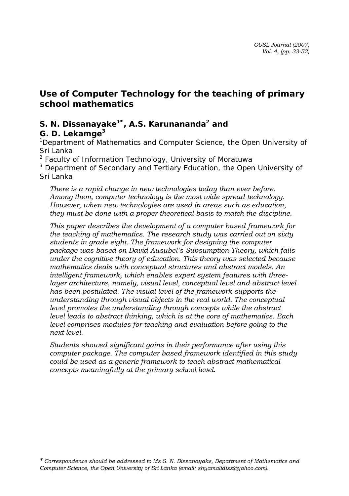# **Use of Computer Technology for the teaching of primary school mathematics**

# S. N. Dissanayake<sup>1\*</sup>, A.S. Karunananda<sup>2</sup> and

*G. D. Lekamge<sup>3</sup>*

<sup>1</sup> Department of Mathematics and Computer Science, the Open University of *Sri Lanka* 

*2 Faculty of Information Technology, University of Moratuwa*  3  *Department of Secondary and Tertiary Education, the Open University of Sri Lanka*

*There is a rapid change in new technologies today than ever before. Among them, computer technology is the most wide spread technology. However, when new technologies are used in areas such as education, they must be done with a proper theoretical basis to match the discipline.* 

*This paper describes the development of a computer based framework for the teaching of mathematics. The research study was carried out on sixty students in grade eight. The framework for designing the computer package was based on David Ausubel's Subsumption Theory, which falls under the cognitive theory of education. This theory was selected because mathematics deals with conceptual structures and abstract models. An intelligent framework, which enables expert system features with three*layer architecture, namely, visual level, conceptual level and abstract level *has been postulated. The visual level of the framework supports the understanding through visual objects in the real world. The conceptual level promotes the understanding through concepts while the abstract level leads to abstract thinking, which is at the core of mathematics. Each level comprises modules for teaching and evaluation before going to the next level.* 

*Students showed significant gains in their performance after using this computer package. The computer based framework identified in this study could be used as a generic framework to teach abstract mathematical concepts meaningfully at the primary school level.*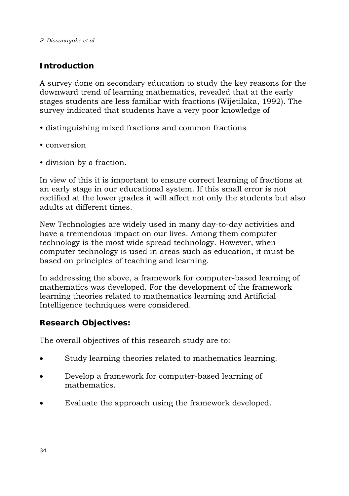# **Introduction**

A survey done on secondary education to study the key reasons for the downward trend of learning mathematics, revealed that at the early stages students are less familiar with fractions (Wijetilaka, 1992). The survey indicated that students have a very poor knowledge of

- distinguishing mixed fractions and common fractions
- conversion
- division by a fraction.

In view of this it is important to ensure correct learning of fractions at an early stage in our educational system. If this small error is not rectified at the lower grades it will affect not only the students but also adults at different times.

New Technologies are widely used in many day-to-day activities and have a tremendous impact on our lives. Among them computer technology is the most wide spread technology. However, when computer technology is used in areas such as education, it must be based on principles of teaching and learning.

In addressing the above, a framework for computer-based learning of mathematics was developed. For the development of the framework learning theories related to mathematics learning and Artificial Intelligence techniques were considered.

# **Research Objectives:**

The overall objectives of this research study are to:

- Study learning theories related to mathematics learning.
- Develop a framework for computer-based learning of mathematics.
- Evaluate the approach using the framework developed.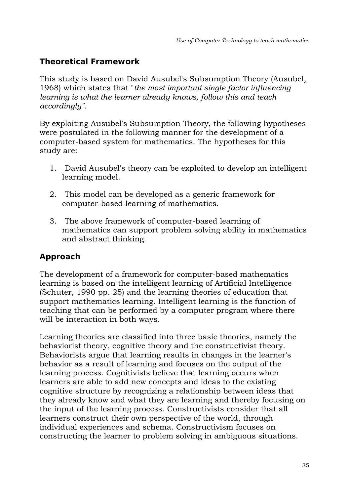# **Theoretical Framework**

This study is based on David Ausubel's Subsumption Theory (Ausubel, 1968) which states that "*the most important single factor influencing learning is what the learner already knows, follow this and teach accordingly".*

By exploiting Ausubel's Subsumption Theory, the following hypotheses were postulated in the following manner for the development of a computer-based system for mathematics. The hypotheses for this study are:

- 1. David Ausubel's theory can be exploited to develop an intelligent learning model.
- 2. This model can be developed as a generic framework for computer-based learning of mathematics.
- 3. The above framework of computer-based learning of mathematics can support problem solving ability in mathematics and abstract thinking.

# **Approach**

The development of a framework for computer-based mathematics learning is based on the intelligent learning of Artificial Intelligence (Schuter, 1990 pp. 25) and the learning theories of education that support mathematics learning. Intelligent learning is the function of teaching that can be performed by a computer program where there will be interaction in both ways.

Learning theories are classified into three basic theories, namely the behaviorist theory, cognitive theory and the constructivist theory. Behaviorists argue that learning results in changes in the learner's behavior as a result of learning and focuses on the output of the learning process. Cognitivists believe that learning occurs when learners are able to add new concepts and ideas to the existing cognitive structure by recognizing a relationship between ideas that they already know and what they are learning and thereby focusing on the input of the learning process. Constructivists consider that all learners construct their own perspective of the world, through individual experiences and schema. Constructivism focuses on constructing the learner to problem solving in ambiguous situations.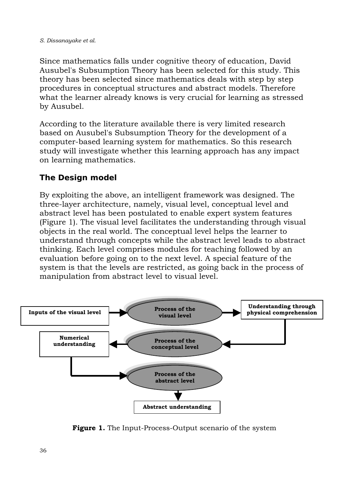Since mathematics falls under cognitive theory of education, David Ausubel's Subsumption Theory has been selected for this study. This theory has been selected since mathematics deals with step by step procedures in conceptual structures and abstract models. Therefore what the learner already knows is very crucial for learning as stressed by Ausubel.

According to the literature available there is very limited research based on Ausubel's Subsumption Theory for the development of a computer-based learning system for mathematics. So this research study will investigate whether this learning approach has any impact on learning mathematics.

### **The Design model**

By exploiting the above, an intelligent framework was designed. The three-layer architecture, namely, visual level, conceptual level and abstract level has been postulated to enable expert system features (Figure 1). The visual level facilitates the understanding through visual objects in the real world. The conceptual level helps the learner to understand through concepts while the abstract level leads to abstract thinking. Each level comprises modules for teaching followed by an evaluation before going on to the next level. A special feature of the system is that the levels are restricted, as going back in the process of manipulation from abstract level to visual level.



**Figure 1.** The Input-Process-Output scenario of the system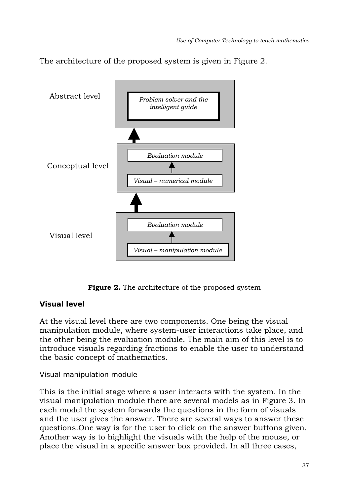The architecture of the proposed system is given in Figure 2.



**Figure 2.** The architecture of the proposed system

# **Visual level**

At the visual level there are two components. One being the visual manipulation module, where system-user interactions take place, and the other being the evaluation module. The main aim of this level is to introduce visuals regarding fractions to enable the user to understand the basic concept of mathematics.

# *Visual manipulation module*

This is the initial stage where a user interacts with the system. In the visual manipulation module there are several models as in Figure 3. In each model the system forwards the questions in the form of visuals and the user gives the answer. There are several ways to answer these questions.One way is for the user to click on the answer buttons given. Another way is to highlight the visuals with the help of the mouse, or place the visual in a specific answer box provided. In all three cases,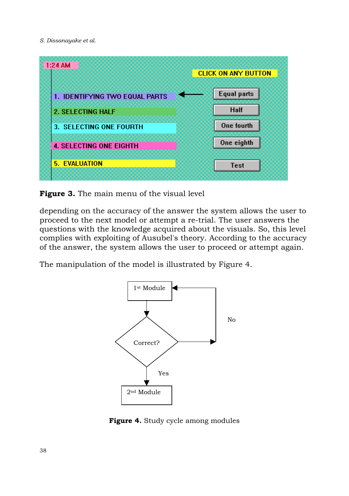

**Figure 3.** The main menu of the visual level

depending on the accuracy of the answer the system allows the user to proceed to the next model or attempt a re-trial. The user answers the questions with the knowledge acquired about the visuals. So, this level complies with exploiting of Ausubel's theory. According to the accuracy of the answer, the system allows the user to proceed or attempt again.

The manipulation of the model is illustrated by Figure 4.



**Figure 4.** Study cycle among modules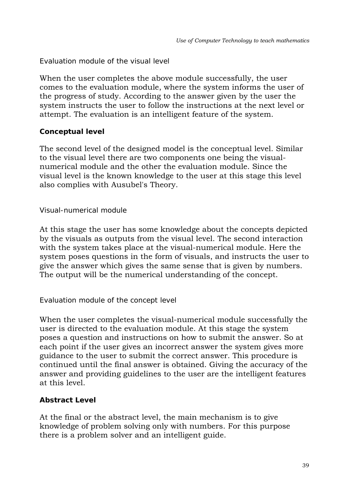#### *Evaluation module of the visual level*

When the user completes the above module successfully, the user comes to the evaluation module, where the system informs the user of the progress of study. According to the answer given by the user the system instructs the user to follow the instructions at the next level or attempt. The evaluation is an intelligent feature of the system.

### **Conceptual level**

The second level of the designed model is the conceptual level. Similar to the visual level there are two components one being the visualnumerical module and the other the evaluation module. Since the visual level is the known knowledge to the user at this stage this level also complies with Ausubel's Theory.

#### *Visual-numerical module*

At this stage the user has some knowledge about the concepts depicted by the visuals as outputs from the visual level. The second interaction with the system takes place at the visual-numerical module. Here the system poses questions in the form of visuals, and instructs the user to give the answer which gives the same sense that is given by numbers. The output will be the numerical understanding of the concept.

### *Evaluation module of the concept level*

When the user completes the visual-numerical module successfully the user is directed to the evaluation module. At this stage the system poses a question and instructions on how to submit the answer. So at each point if the user gives an incorrect answer the system gives more guidance to the user to submit the correct answer. This procedure is continued until the final answer is obtained. Giving the accuracy of the answer and providing guidelines to the user are the intelligent features at this level.

### **Abstract Level**

At the final or the abstract level, the main mechanism is to give knowledge of problem solving only with numbers. For this purpose there is a problem solver and an intelligent guide.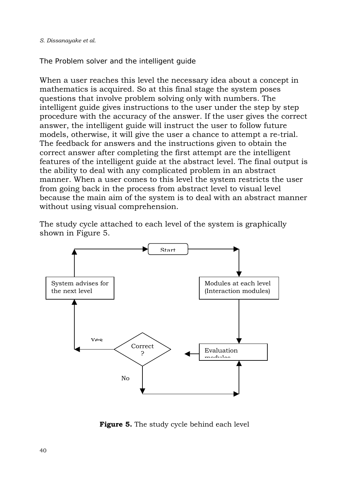#### *The Problem solver and the intelligent guide*

When a user reaches this level the necessary idea about a concept in mathematics is acquired. So at this final stage the system poses questions that involve problem solving only with numbers. The intelligent guide gives instructions to the user under the step by step procedure with the accuracy of the answer. If the user gives the correct answer, the intelligent guide will instruct the user to follow future models, otherwise, it will give the user a chance to attempt a re-trial. The feedback for answers and the instructions given to obtain the correct answer after completing the first attempt are the intelligent features of the intelligent guide at the abstract level. The final output is the ability to deal with any complicated problem in an abstract manner. When a user comes to this level the system restricts the user from going back in the process from abstract level to visual level because the main aim of the system is to deal with an abstract manner without using visual comprehension.

The study cycle attached to each level of the system is graphically shown in Figure 5.



**Figure 5.** The study cycle behind each level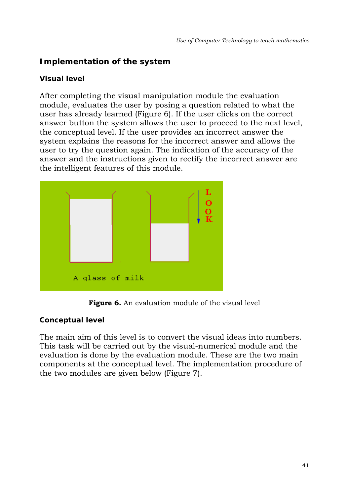# **Implementation of the system**

### **Visual level**

After completing the visual manipulation module the evaluation module, evaluates the user by posing a question related to what the user has already learned (Figure 6). If the user clicks on the correct answer button the system allows the user to proceed to the next level, the conceptual level. If the user provides an incorrect answer the system explains the reasons for the incorrect answer and allows the user to try the question again. The indication of the accuracy of the answer and the instructions given to rectify the incorrect answer are the intelligent features of this module.



Figure 6. An evaluation module of the visual level

### **Conceptual level**

The main aim of this level is to convert the visual ideas into numbers. This task will be carried out by the visual-numerical module and the evaluation is done by the evaluation module. These are the two main components at the conceptual level. The implementation procedure of the two modules are given below (Figure 7).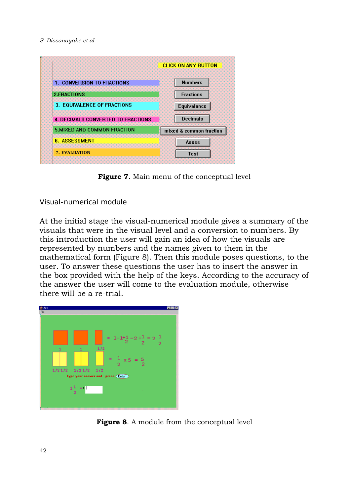| <b>1. CONVERSION TO FRACTIONS</b>         | <b>Numbers</b>          |  |
|-------------------------------------------|-------------------------|--|
| 2.FRACTIONS                               | <b>Fractions</b>        |  |
| 3. EQUIVALENCE OF FRACTIONS               | Equivalance             |  |
| <b>4. DECIMALS CONVERTED TO FRACTIONS</b> | <b>Decimals</b>         |  |
| <b>5.MIXED AND COMMON FRACTION</b>        | mixed & common fraction |  |
| <b>6. ASSESSMENT</b>                      |                         |  |

**Figure 7**. Main menu of the conceptual level

#### *Visual-numerical module*

At the initial stage the visual-numerical module gives a summary of the visuals that were in the visual level and a conversion to numbers. By this introduction the user will gain an idea of how the visuals are represented by numbers and the names given to them in the mathematical form (Figure 8). Then this module poses questions, to the user. To answer these questions the user has to insert the answer in the box provided with the help of the keys. According to the accuracy of the answer the user will come to the evaluation module, otherwise there will be a re-trial.



**Figure 8**. A module from the conceptual level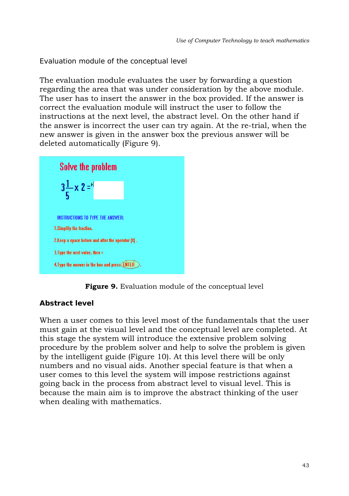*Evaluation module of the conceptual level* 

The evaluation module evaluates the user by forwarding a question regarding the area that was under consideration by the above module. The user has to insert the answer in the box provided. If the answer is correct the evaluation module will instruct the user to follow the instructions at the next level, the abstract level. On the other hand if the answer is incorrect the user can try again. At the re-trial, when the new answer is given in the answer box the previous answer will be deleted automatically (Figure 9).





### **Abstract level**

When a user comes to this level most of the fundamentals that the user must gain at the visual level and the conceptual level are completed. At this stage the system will introduce the extensive problem solving procedure by the problem solver and help to solve the problem is given by the intelligent guide (Figure 10). At this level there will be only numbers and no visual aids. Another special feature is that when a user comes to this level the system will impose restrictions against going back in the process from abstract level to visual level. This is because the main aim is to improve the abstract thinking of the user when dealing with mathematics.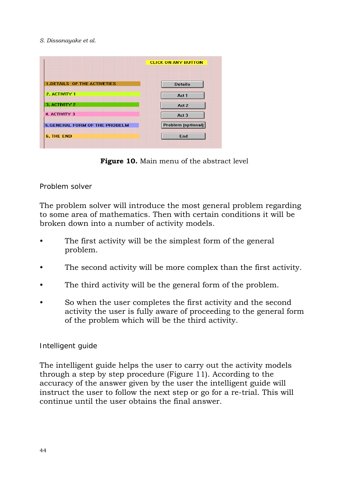|                                      | <b>CLICK ON ANY BUTTON</b> |  |
|--------------------------------------|----------------------------|--|
| <b>1.DETAILS OF THE ACTIVETIES</b>   | <b>Details</b>             |  |
| 2. ACTIVITY 1                        | Act 1                      |  |
| 3. ACTIVITY 2                        | Act 2                      |  |
| 4. ACTIVITY 3                        | Act 3                      |  |
| <b>5.GENERAL FORM OF THE PROBELM</b> | Problem [optional]         |  |
| <b>6. THE END</b>                    | End                        |  |

**Figure 10.** Main menu of the abstract level

#### *Problem solver*

The problem solver will introduce the most general problem regarding to some area of mathematics. Then with certain conditions it will be broken down into a number of activity models.

- The first activity will be the simplest form of the general problem.
- The second activity will be more complex than the first activity.
- The third activity will be the general form of the problem.
- So when the user completes the first activity and the second activity the user is fully aware of proceeding to the general form of the problem which will be the third activity.

#### *Intelligent guide*

The intelligent guide helps the user to carry out the activity models through a step by step procedure (Figure 11). According to the accuracy of the answer given by the user the intelligent guide will instruct the user to follow the next step or go for a re-trial. This will continue until the user obtains the final answer.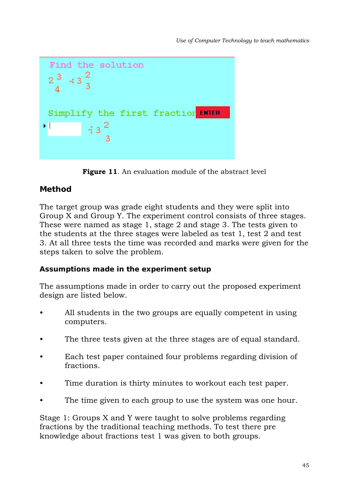

Figure 11. An evaluation module of the abstract level

### **Method**

The target group was grade eight students and they were split into Group X and Group Y. The experiment control consists of three stages. These were named as stage 1, stage 2 and stage 3. The tests given to the students at the three stages were labeled as test 1, test 2 and test 3. At all three tests the time was recorded and marks were given for the steps taken to solve the problem.

### **Assumptions made in the experiment setup**

The assumptions made in order to carry out the proposed experiment design are listed below.

- All students in the two groups are equally competent in using computers.
- The three tests given at the three stages are of equal standard.
- Each test paper contained four problems regarding division of fractions.
- Time duration is thirty minutes to workout each test paper.
- The time given to each group to use the system was one hour.

Stage 1: Groups X and Y were taught to solve problems regarding fractions by the traditional teaching methods. To test there pre knowledge about fractions test 1 was given to both groups.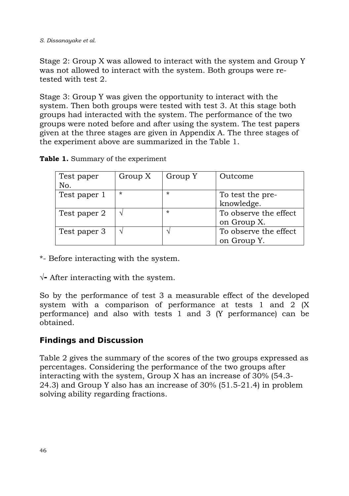Stage 2: Group X was allowed to interact with the system and Group Y was not allowed to interact with the system. Both groups were retested with test 2.

Stage 3: Group Y was given the opportunity to interact with the system. Then both groups were tested with test 3. At this stage both groups had interacted with the system. The performance of the two groups were noted before and after using the system. The test papers given at the three stages are given in Appendix A. The three stages of the experiment above are summarized in the Table 1.

| Test paper<br>No. | Group X | Group Y | Outcome               |
|-------------------|---------|---------|-----------------------|
| Test paper 1      | $\star$ | $\star$ | To test the pre-      |
|                   |         |         | knowledge.            |
| Test paper 2      |         | $\star$ | To observe the effect |
|                   |         |         | on Group X.           |
| Test paper 3      |         |         | To observe the effect |
|                   |         |         | on Group Y.           |

**Table 1.** Summary of the experiment

\*- Before interacting with the system.

√**-** After interacting with the system.

So by the performance of test 3 a measurable effect of the developed system with a comparison of performance at tests 1 and 2 (X performance) and also with tests 1 and 3 (Y performance) can be obtained.

# **Findings and Discussion**

Table 2 gives the summary of the scores of the two groups expressed as percentages. Considering the performance of the two groups after interacting with the system, Group X has an increase of 30% (54.3- 24.3) and Group Y also has an increase of 30% (51.5-21.4) in problem solving ability regarding fractions.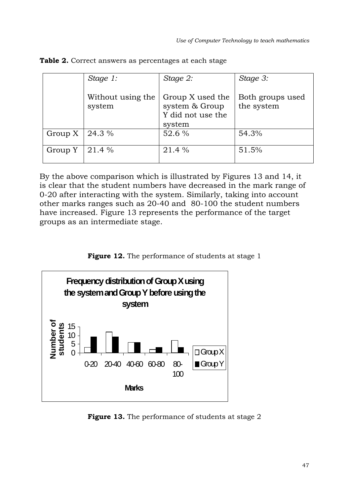|         | Stage 1:                    | Stage 2:                                                          | Stage 3:                       |
|---------|-----------------------------|-------------------------------------------------------------------|--------------------------------|
|         | Without using the<br>system | Group X used the<br>system & Group<br>Y did not use the<br>system | Both groups used<br>the system |
| Group X | 24.3 %                      | 52.6 %                                                            | 54.3%                          |
| Group Y | 21.4 %                      | 21.4 %                                                            | 51.5%                          |

**Table 2.** Correct answers as percentages at each stage

By the above comparison which is illustrated by Figures 13 and 14, it is clear that the student numbers have decreased in the mark range of 0-20 after interacting with the system. Similarly, taking into account other marks ranges such as 20-40 and 80-100 the student numbers have increased. Figure 13 represents the performance of the target groups as an intermediate stage.





**Figure 13.** The performance of students at stage 2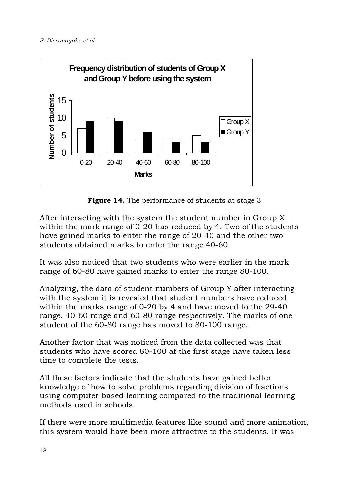

**Figure 14.** The performance of students at stage 3

After interacting with the system the student number in Group X within the mark range of 0-20 has reduced by 4. Two of the students have gained marks to enter the range of 20-40 and the other two students obtained marks to enter the range 40-60.

It was also noticed that two students who were earlier in the mark range of 60-80 have gained marks to enter the range 80-100.

Analyzing, the data of student numbers of Group Y after interacting with the system it is revealed that student numbers have reduced within the marks range of 0-20 by 4 and have moved to the 29-40 range, 40-60 range and 60-80 range respectively. The marks of one student of the 60-80 range has moved to 80-100 range.

Another factor that was noticed from the data collected was that students who have scored 80-100 at the first stage have taken less time to complete the tests.

All these factors indicate that the students have gained better knowledge of how to solve problems regarding division of fractions using computer-based learning compared to the traditional learning methods used in schools.

If there were more multimedia features like sound and more animation, this system would have been more attractive to the students. It was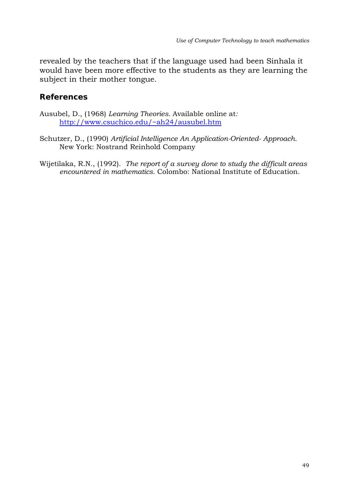revealed by the teachers that if the language used had been Sinhala it would have been more effective to the students as they are learning the subject in their mother tongue.

### **References**

- Ausubel, D., (1968) *Learning Theories.* Available online at*:*  http://www.csuchico.edu/~ah24/ausubel.htm
- Schutzer, D., (1990) *Artificial Intelligence An Application-Oriented- Approach*. New York: Nostrand Reinhold Company
- Wijetilaka, R.N., (1992). *The report of a survey done to study the difficult areas encountered in mathematics.* Colombo: National Institute of Education.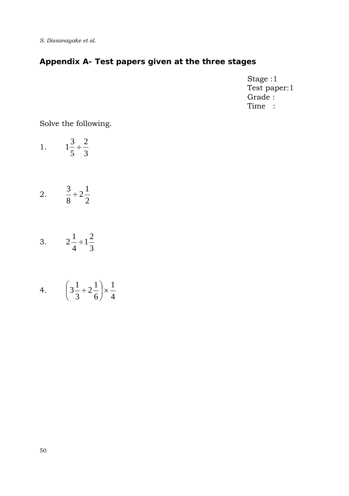# **Appendix A- Test papers given at the three stages**

Stage :1 Test paper:1 Grade : Time :

### Solve the following.

- 1. 5 3  $1\frac{3}{7} \div \frac{2}{3}$
- 2.  $\frac{5}{8} \div 2\frac{1}{2}$ 8  $\frac{3}{2} \div 2\frac{1}{2}$
- 3.  $2\frac{1}{4} \div 1\frac{2}{3}$ 4  $2^{\frac{1}{2}} \div 1^{\frac{2}{3}}$
- 4.  $\left(3\frac{1}{3} \div 2\frac{1}{6}\right) \times \frac{1}{4}$ 1 6  $2^{1}$ 3  $3\frac{1}{2} \div 2\frac{1}{2} \times$ ⎠  $\left(3\frac{1}{2} \div 2\frac{1}{2}\right)$ ⎝  $\left(3\frac{1}{2}\right)$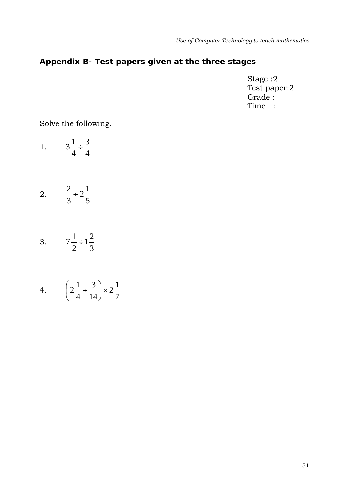# **Appendix B- Test papers given at the three stages**

Stage :2 Test paper:2 Grade : Time :

# Solve the following.

- 1.  $3\frac{1}{4} \div \frac{3}{4}$
- 2.  $\frac{2}{3} \div 2\frac{1}{5}$ 3  $\frac{2}{2} \div 2\frac{1}{2}$
- 3.  $7\frac{1}{2} \div 1\frac{2}{3}$ 2  $7\frac{1}{2} \div 1\frac{2}{3}$
- 4.  $\left(2\frac{1}{4} \div \frac{5}{14}\right) \times 2\frac{1}{7}$  $2\frac{1}{2}$ 14 3 4  $2\frac{1}{4} \div \frac{3}{14}$   $\times$ ⎠  $\left(2\frac{1}{4} \div \frac{3}{14}\right)$ ⎝  $\left(2\frac{1}{\cdot}\right)$